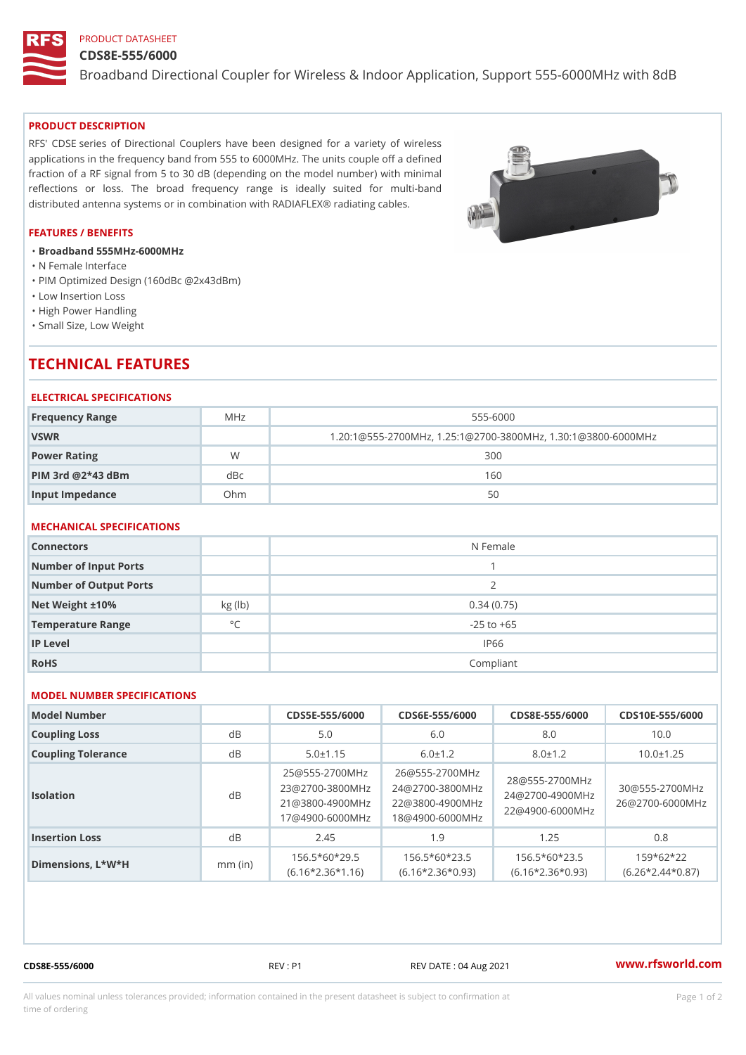## PRODUCT DATASHEET

### CDS8E-555/6000

Broadband Directional Coupler for Wireless & Indoor Application, Supp

### PRODUCT DESCRIPTION

RFS' CDSE series of Directional Couplers have been designed for a variety of wireless applications in the frequency band from 555 to 6000MHz. The units couple off a defined fraction of a RF signal from 5 to 30 dB (depending on the model number) with minimal reflections or loss. The broad frequency range is ideally suited for multi-band distributed antenna systems or in combination with RADIAFLEX® radiating cables.

### FEATURES / BENEFITS

"Broadband 555MHz-6000MHz

- "N Female Interface
- "PIM Optimized Design (160dBc @2x43dBm)
- "Low Insertion Loss
- "High Power Handling
- "Small Size, Low Weight

# TECHNICAL FEATURES

### ELECTRICAL SPECIFICATIONS

| Frequency Range         | MHz | $555 - 6000$                                          |
|-------------------------|-----|-------------------------------------------------------|
| VSWR                    |     | $1.20:1@555-2700MHz, 1.25:1@2700-3800MHz, 1.30:1@380$ |
| Power Rating            | W   | 300                                                   |
| $P$ IM 3rd @ $2*43$ dBm | dBc | 160                                                   |
| Input Impedance         | Ohm | 50                                                    |

## MECHANICAL SPECIFICATIONS

| Connectors             |              | N Female       |
|------------------------|--------------|----------------|
| Number of Input Ports  |              |                |
| Number of Output Ports |              | 2              |
| Net Weight $\pm 10\%$  | kg (lb)      | 0.34(0.75)     |
| Temperature Range      | $^{\circ}$ C | $-25$ to $+65$ |
| IP Level               |              | IP66           |
| RoHS                   |              | Compliant      |

## MODEL NUMBER SPECIFICATIONS

| Model Number       |           |                |                                                              |               | $CDS5E - 555/6000CDS6E - 555/6000CDS8E - 555/60000DS10E - 555/6000D$                                                                                                                                                                   |  |
|--------------------|-----------|----------------|--------------------------------------------------------------|---------------|----------------------------------------------------------------------------------------------------------------------------------------------------------------------------------------------------------------------------------------|--|
| Coupling Loss      | $d \, B$  | 5.0            | 6.0                                                          | 8.0           | 10.0                                                                                                                                                                                                                                   |  |
| Coupling Tolerance | d B       | $5.0 \pm 1.15$ | $6.0 \pm 1.2$                                                | $8.0 \pm 1.2$ | $10.0 \pm 1.25$                                                                                                                                                                                                                        |  |
| Isolation          | d B       |                |                                                              |               | 25 @ 555 - 2700 M H26 @ 555 - 2700 M H z<br>23 @ 2700 - 3800 M 2H z @ 2700 - 3800 M H z @ 555 - 2700 M H z<br>21 @ 3800 - 4900 M 2H 2 @ 3800 - 4900 M H z @ 2700 - 4900 M H z<br>17 @ 4900 - 6000 M H & @ 4900 - 6000 M H Z @ 4900 - 6 |  |
| Insertion Loss     | $d \, B$  | 2.45           | 1.9                                                          | 1.25          | 0.8                                                                                                                                                                                                                                    |  |
| Dimensions, L*W*H  | $mm$ (in) |                | $156.5*60*295$ $156.5*60*235$ $156.5*60*235$ $5$ $159*62*22$ |               | (6.16*2.36*1,16)(6.16*2.36*0,93)(6.16*2.36*0,93)(6.26*2.44*0, 37)                                                                                                                                                                      |  |

CDS8E-555/6000 REV : P1 REV DATE : 04 Aug 2021 [www.](https://www.rfsworld.com)rfsworld.com